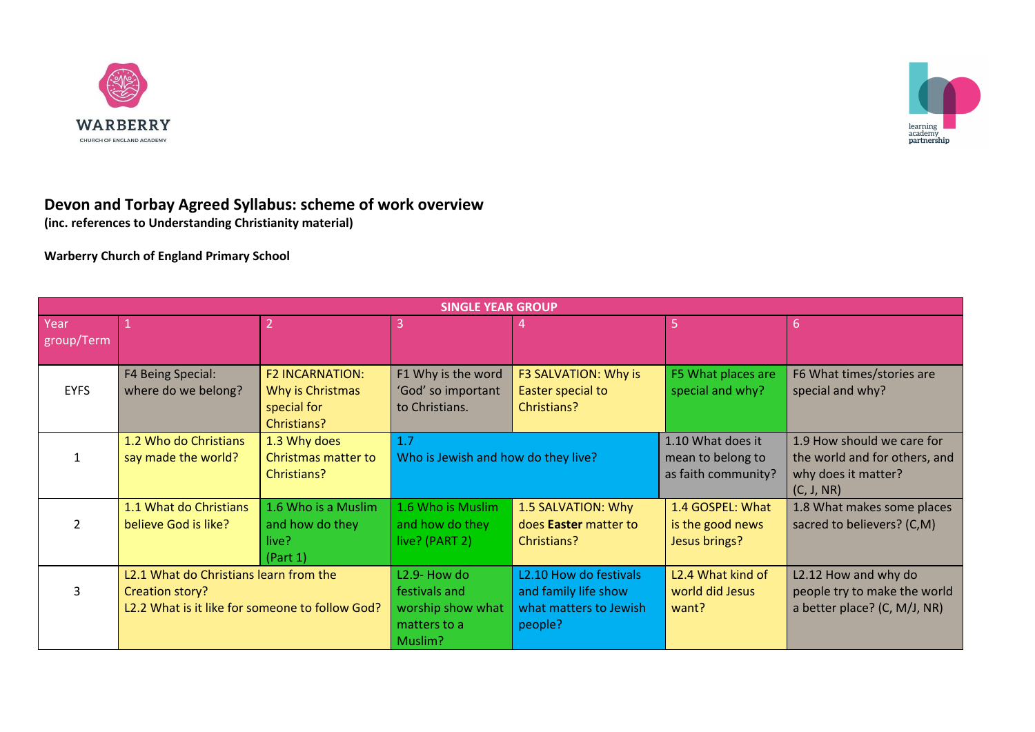



## **Devon and Torbay Agreed Syllabus: scheme of work overview**

**(inc. references to Understanding Christianity material)**

**Warberry Church of England Primary School**

| <b>SINGLE YEAR GROUP</b> |                                                                                                              |                                                                          |                                                                                            |                                                                                     |                                                               |                                                                                                  |  |  |  |  |
|--------------------------|--------------------------------------------------------------------------------------------------------------|--------------------------------------------------------------------------|--------------------------------------------------------------------------------------------|-------------------------------------------------------------------------------------|---------------------------------------------------------------|--------------------------------------------------------------------------------------------------|--|--|--|--|
| Year<br>group/Term       |                                                                                                              |                                                                          |                                                                                            |                                                                                     | 5                                                             | 6                                                                                                |  |  |  |  |
| <b>EYFS</b>              | F4 Being Special:<br>where do we belong?                                                                     | <b>F2 INCARNATION:</b><br>Why is Christmas<br>special for<br>Christians? | F1 Why is the word<br>'God' so important<br>to Christians.                                 | F3 SALVATION: Why is<br>Easter special to<br>Christians?                            | F5 What places are<br>special and why?                        | F6 What times/stories are<br>special and why?                                                    |  |  |  |  |
|                          | 1.2 Who do Christians<br>say made the world?                                                                 | 1.3 Why does<br>Christmas matter to<br>Christians?                       | 1.7<br>Who is Jewish and how do they live?                                                 |                                                                                     | 1.10 What does it<br>mean to belong to<br>as faith community? | 1.9 How should we care for<br>the world and for others, and<br>why does it matter?<br>(C, J, NR) |  |  |  |  |
|                          | 1.1 What do Christians<br>believe God is like?                                                               | 1.6 Who is a Muslim<br>and how do they<br>live?<br>(Part 1)              | 1.6 Who is Muslim<br>and how do they<br>live? (PART 2)                                     | 1.5 SALVATION: Why<br>does <b>Easter</b> matter to<br>Christians?                   | 1.4 GOSPEL: What<br>is the good news<br>Jesus brings?         | 1.8 What makes some places<br>sacred to believers? (C,M)                                         |  |  |  |  |
|                          | L2.1 What do Christians learn from the<br>Creation story?<br>L2.2 What is it like for someone to follow God? |                                                                          | L <sub>2.9</sub> - How do<br>festivals and<br>worship show what<br>matters to a<br>Muslim? | L2.10 How do festivals<br>and family life show<br>what matters to Jewish<br>people? | L <sub>2</sub> .4 What kind of<br>world did Jesus<br>want?    | L2.12 How and why do<br>people try to make the world<br>a better place? (C, M/J, NR)             |  |  |  |  |